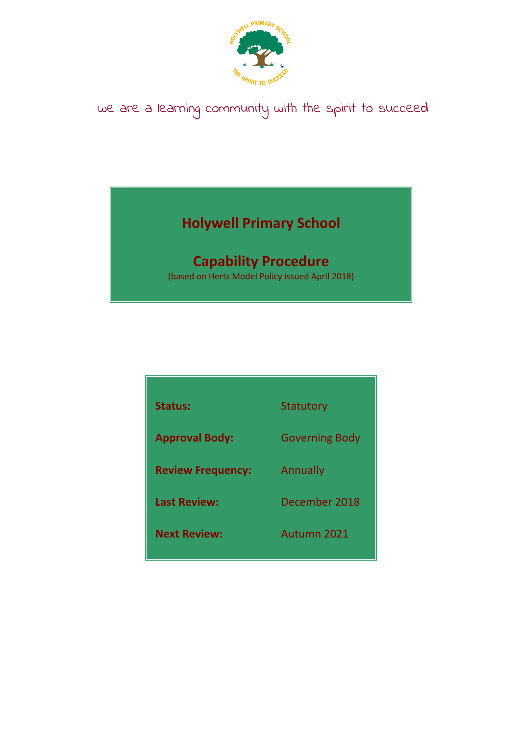

# we are a learning community with the spirit to succeed

## **Holywell Primary School**

## **Capability Procedure**

(based on Herts Model Policy issued April 2018)

| <b>Status:</b>           | <b>Statutory</b>      |
|--------------------------|-----------------------|
| <b>Approval Body:</b>    | <b>Governing Body</b> |
| <b>Review Frequency:</b> | Annually              |
| <b>Last Review:</b>      | December 2018         |
| <b>Next Review:</b>      | Autumn 2021           |
|                          |                       |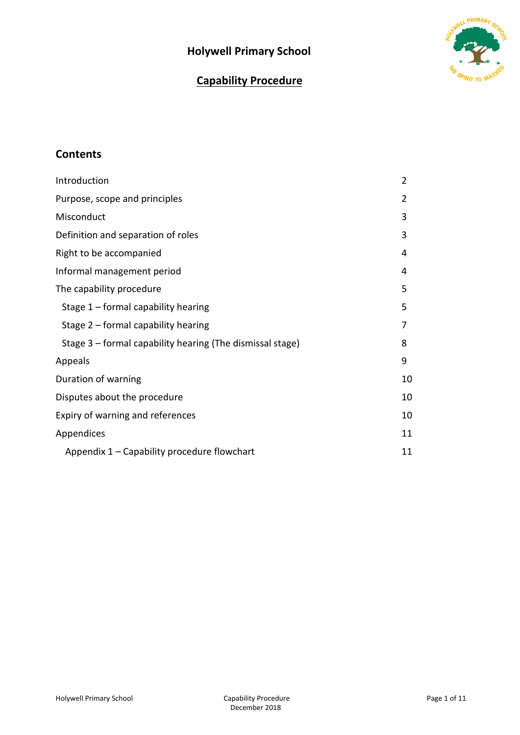### **Holywell Primary School**





### **Contents**

| Introduction                                              | $\overline{2}$ |
|-----------------------------------------------------------|----------------|
| Purpose, scope and principles                             | 2              |
| Misconduct                                                | 3              |
| Definition and separation of roles                        | 3              |
| Right to be accompanied                                   | 4              |
| Informal management period                                | 4              |
| The capability procedure                                  | 5              |
| Stage $1$ – formal capability hearing                     | 5              |
| Stage 2 - formal capability hearing                       | 7              |
| Stage 3 – formal capability hearing (The dismissal stage) | 8              |
| Appeals                                                   | 9              |
| Duration of warning                                       | 10             |
| Disputes about the procedure                              | 10             |
| Expiry of warning and references                          | 10             |
| Appendices                                                | 11             |
| Appendix 1 – Capability procedure flowchart               | 11             |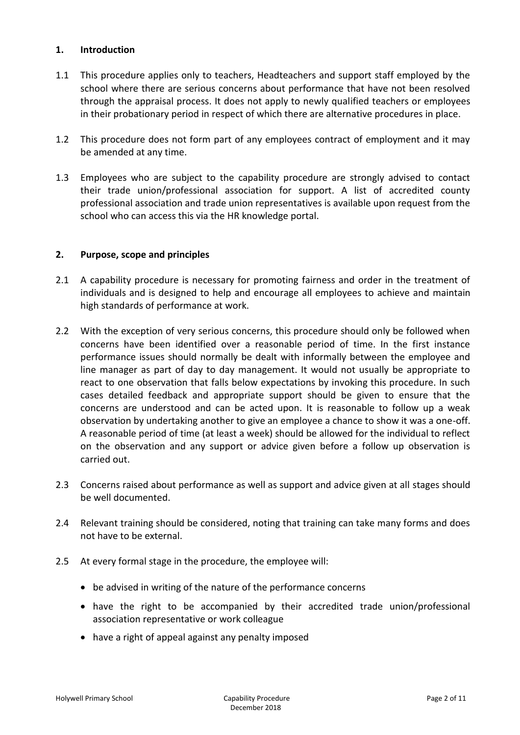#### **1. Introduction**

- 1.1 This procedure applies only to teachers, Headteachers and support staff employed by the school where there are serious concerns about performance that have not been resolved through the appraisal process. It does not apply to newly qualified teachers or employees in their probationary period in respect of which there are alternative procedures in place.
- 1.2 This procedure does not form part of any employees contract of employment and it may be amended at any time.
- 1.3 Employees who are subject to the capability procedure are strongly advised to contact their trade union/professional association for support. A list of accredited county professional association and trade union representatives is available upon request from the school who can access this via the HR knowledge portal.

#### **2. Purpose, scope and principles**

- 2.1 A capability procedure is necessary for promoting fairness and order in the treatment of individuals and is designed to help and encourage all employees to achieve and maintain high standards of performance at work.
- 2.2 With the exception of very serious concerns, this procedure should only be followed when concerns have been identified over a reasonable period of time. In the first instance performance issues should normally be dealt with informally between the employee and line manager as part of day to day management. It would not usually be appropriate to react to one observation that falls below expectations by invoking this procedure. In such cases detailed feedback and appropriate support should be given to ensure that the concerns are understood and can be acted upon. It is reasonable to follow up a weak observation by undertaking another to give an employee a chance to show it was a one-off. A reasonable period of time (at least a week) should be allowed for the individual to reflect on the observation and any support or advice given before a follow up observation is carried out.
- 2.3 Concerns raised about performance as well as support and advice given at all stages should be well documented.
- 2.4 Relevant training should be considered, noting that training can take many forms and does not have to be external.
- 2.5 At every formal stage in the procedure, the employee will:
	- be advised in writing of the nature of the performance concerns
	- have the right to be accompanied by their accredited trade union/professional association representative or work colleague
	- have a right of appeal against any penalty imposed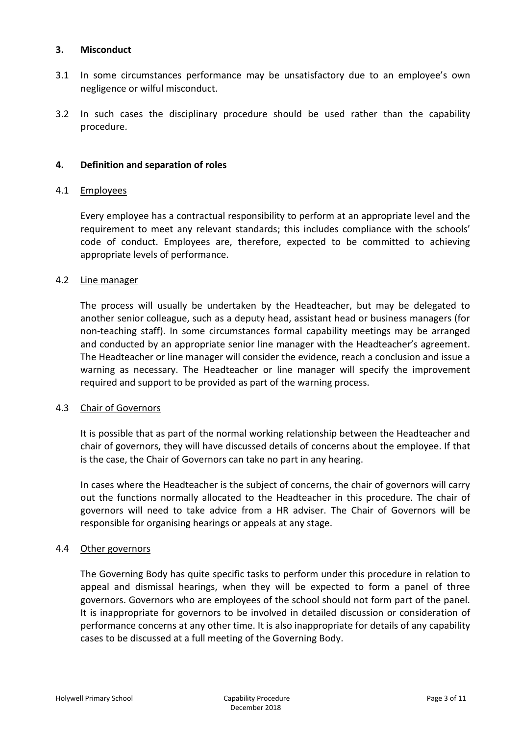#### **3. Misconduct**

- 3.1 In some circumstances performance may be unsatisfactory due to an employee's own negligence or wilful misconduct.
- 3.2 In such cases the disciplinary procedure should be used rather than the capability procedure.

#### **4. Definition and separation of roles**

#### 4.1 Employees

Every employee has a contractual responsibility to perform at an appropriate level and the requirement to meet any relevant standards; this includes compliance with the schools' code of conduct. Employees are, therefore, expected to be committed to achieving appropriate levels of performance.

#### 4.2 Line manager

The process will usually be undertaken by the Headteacher, but may be delegated to another senior colleague, such as a deputy head, assistant head or business managers (for non-teaching staff). In some circumstances formal capability meetings may be arranged and conducted by an appropriate senior line manager with the Headteacher's agreement. The Headteacher or line manager will consider the evidence, reach a conclusion and issue a warning as necessary. The Headteacher or line manager will specify the improvement required and support to be provided as part of the warning process.

#### 4.3 Chair of Governors

It is possible that as part of the normal working relationship between the Headteacher and chair of governors, they will have discussed details of concerns about the employee. If that is the case, the Chair of Governors can take no part in any hearing.

In cases where the Headteacher is the subject of concerns, the chair of governors will carry out the functions normally allocated to the Headteacher in this procedure. The chair of governors will need to take advice from a HR adviser. The Chair of Governors will be responsible for organising hearings or appeals at any stage.

#### 4.4 Other governors

The Governing Body has quite specific tasks to perform under this procedure in relation to appeal and dismissal hearings, when they will be expected to form a panel of three governors. Governors who are employees of the school should not form part of the panel. It is inappropriate for governors to be involved in detailed discussion or consideration of performance concerns at any other time. It is also inappropriate for details of any capability cases to be discussed at a full meeting of the Governing Body.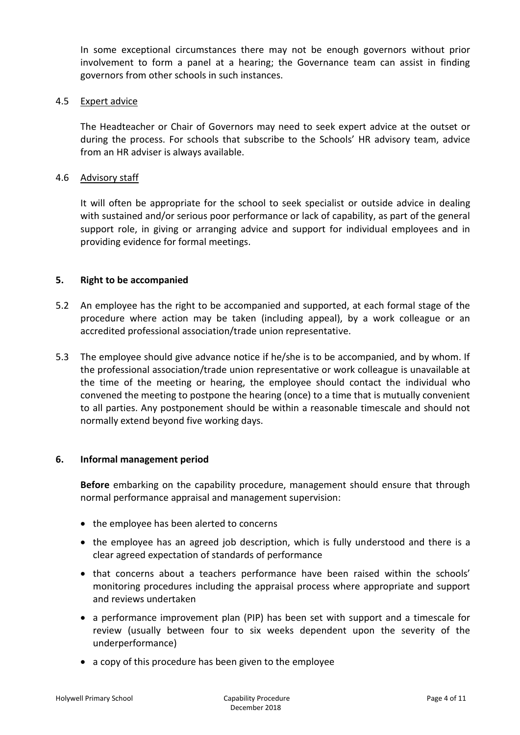In some exceptional circumstances there may not be enough governors without prior involvement to form a panel at a hearing; the Governance team can assist in finding governors from other schools in such instances.

#### 4.5 Expert advice

The Headteacher or Chair of Governors may need to seek expert advice at the outset or during the process. For schools that subscribe to the Schools' HR advisory team, advice from an HR adviser is always available.

#### 4.6 Advisory staff

It will often be appropriate for the school to seek specialist or outside advice in dealing with sustained and/or serious poor performance or lack of capability, as part of the general support role, in giving or arranging advice and support for individual employees and in providing evidence for formal meetings.

#### **5. Right to be accompanied**

- 5.2 An employee has the right to be accompanied and supported, at each formal stage of the procedure where action may be taken (including appeal), by a work colleague or an accredited professional association/trade union representative.
- 5.3 The employee should give advance notice if he/she is to be accompanied, and by whom. If the professional association/trade union representative or work colleague is unavailable at the time of the meeting or hearing, the employee should contact the individual who convened the meeting to postpone the hearing (once) to a time that is mutually convenient to all parties. Any postponement should be within a reasonable timescale and should not normally extend beyond five working days.

#### **6. Informal management period**

**Before** embarking on the capability procedure, management should ensure that through normal performance appraisal and management supervision:

- the employee has been alerted to concerns
- the employee has an agreed job description, which is fully understood and there is a clear agreed expectation of standards of performance
- that concerns about a teachers performance have been raised within the schools' monitoring procedures including the appraisal process where appropriate and support and reviews undertaken
- a performance improvement plan (PIP) has been set with support and a timescale for review (usually between four to six weeks dependent upon the severity of the underperformance)
- a copy of this procedure has been given to the employee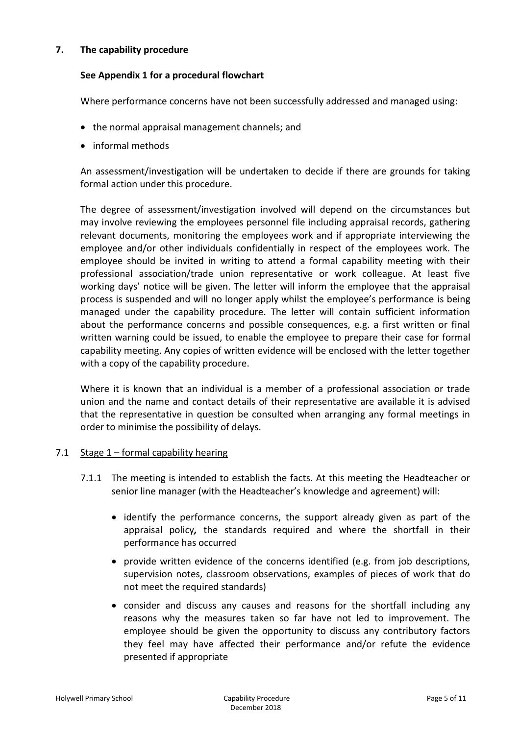#### **7. The capability procedure**

#### **See Appendix 1 for a procedural flowchart**

Where performance concerns have not been successfully addressed and managed using:

- the normal appraisal management channels; and
- informal methods

An assessment/investigation will be undertaken to decide if there are grounds for taking formal action under this procedure.

The degree of assessment/investigation involved will depend on the circumstances but may involve reviewing the employees personnel file including appraisal records, gathering relevant documents, monitoring the employees work and if appropriate interviewing the employee and/or other individuals confidentially in respect of the employees work. The employee should be invited in writing to attend a formal capability meeting with their professional association/trade union representative or work colleague. At least five working days' notice will be given. The letter will inform the employee that the appraisal process is suspended and will no longer apply whilst the employee's performance is being managed under the capability procedure. The letter will contain sufficient information about the performance concerns and possible consequences, e.g. a first written or final written warning could be issued, to enable the employee to prepare their case for formal capability meeting. Any copies of written evidence will be enclosed with the letter together with a copy of the capability procedure.

Where it is known that an individual is a member of a professional association or trade union and the name and contact details of their representative are available it is advised that the representative in question be consulted when arranging any formal meetings in order to minimise the possibility of delays.

#### 7.1 Stage 1 – formal capability hearing

- 7.1.1 The meeting is intended to establish the facts. At this meeting the Headteacher or senior line manager (with the Headteacher's knowledge and agreement) will:
	- identify the performance concerns, the support already given as part of the appraisal policy*,* the standards required and where the shortfall in their performance has occurred
	- provide written evidence of the concerns identified (e.g. from job descriptions, supervision notes, classroom observations, examples of pieces of work that do not meet the required standards)
	- consider and discuss any causes and reasons for the shortfall including any reasons why the measures taken so far have not led to improvement. The employee should be given the opportunity to discuss any contributory factors they feel may have affected their performance and/or refute the evidence presented if appropriate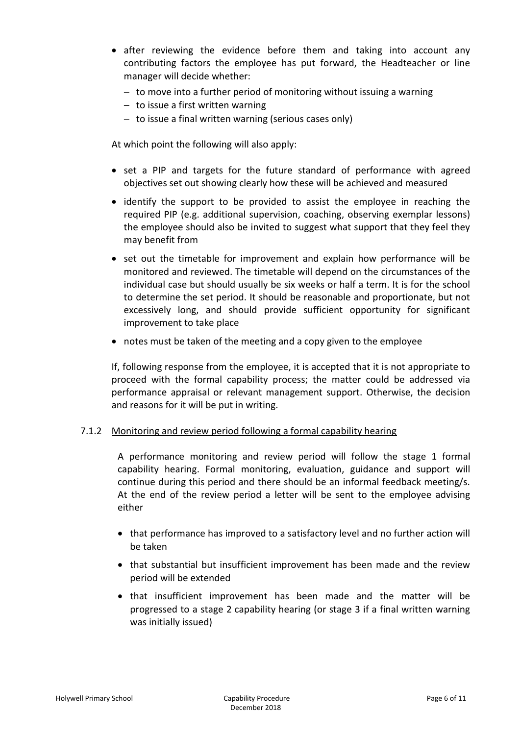- after reviewing the evidence before them and taking into account any contributing factors the employee has put forward, the Headteacher or line manager will decide whether:
	- $-$  to move into a further period of monitoring without issuing a warning
	- $-$  to issue a first written warning
	- $-$  to issue a final written warning (serious cases only)

At which point the following will also apply:

- set a PIP and targets for the future standard of performance with agreed objectives set out showing clearly how these will be achieved and measured
- identify the support to be provided to assist the employee in reaching the required PIP (e.g. additional supervision, coaching, observing exemplar lessons) the employee should also be invited to suggest what support that they feel they may benefit from
- set out the timetable for improvement and explain how performance will be monitored and reviewed. The timetable will depend on the circumstances of the individual case but should usually be six weeks or half a term. It is for the school to determine the set period. It should be reasonable and proportionate, but not excessively long, and should provide sufficient opportunity for significant improvement to take place
- notes must be taken of the meeting and a copy given to the employee

If, following response from the employee, it is accepted that it is not appropriate to proceed with the formal capability process; the matter could be addressed via performance appraisal or relevant management support. Otherwise, the decision and reasons for it will be put in writing.

#### 7.1.2 Monitoring and review period following a formal capability hearing

A performance monitoring and review period will follow the stage 1 formal capability hearing. Formal monitoring, evaluation, guidance and support will continue during this period and there should be an informal feedback meeting/s. At the end of the review period a letter will be sent to the employee advising either

- that performance has improved to a satisfactory level and no further action will be taken
- that substantial but insufficient improvement has been made and the review period will be extended
- that insufficient improvement has been made and the matter will be progressed to a stage 2 capability hearing (or stage 3 if a final written warning was initially issued)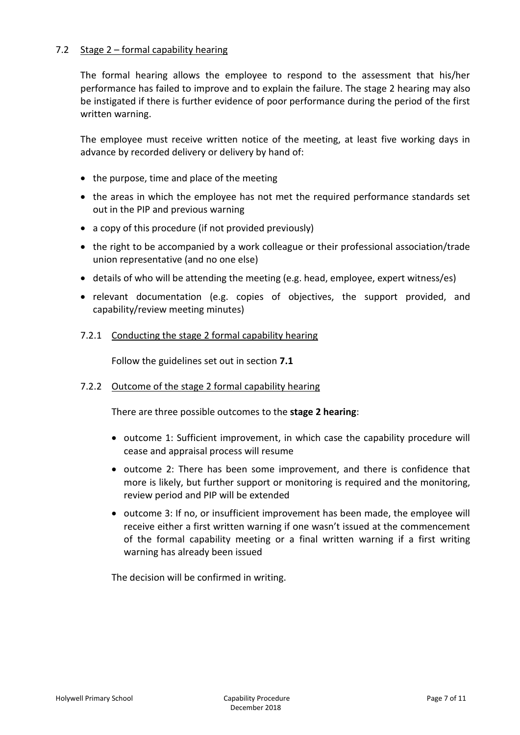#### 7.2 Stage 2 – formal capability hearing

The formal hearing allows the employee to respond to the assessment that his/her performance has failed to improve and to explain the failure. The stage 2 hearing may also be instigated if there is further evidence of poor performance during the period of the first written warning.

The employee must receive written notice of the meeting, at least five working days in advance by recorded delivery or delivery by hand of:

- $\bullet$  the purpose, time and place of the meeting
- the areas in which the employee has not met the required performance standards set out in the PIP and previous warning
- a copy of this procedure (if not provided previously)
- the right to be accompanied by a work colleague or their professional association/trade union representative (and no one else)
- details of who will be attending the meeting (e.g. head, employee, expert witness/es)
- relevant documentation (e.g. copies of objectives, the support provided, and capability/review meeting minutes)
- 7.2.1 Conducting the stage 2 formal capability hearing

Follow the guidelines set out in section **7.1**

#### 7.2.2 Outcome of the stage 2 formal capability hearing

There are three possible outcomes to the **stage 2 hearing**:

- outcome 1: Sufficient improvement, in which case the capability procedure will cease and appraisal process will resume
- outcome 2: There has been some improvement, and there is confidence that more is likely, but further support or monitoring is required and the monitoring, review period and PIP will be extended
- outcome 3: If no, or insufficient improvement has been made, the employee will receive either a first written warning if one wasn't issued at the commencement of the formal capability meeting or a final written warning if a first writing warning has already been issued

The decision will be confirmed in writing.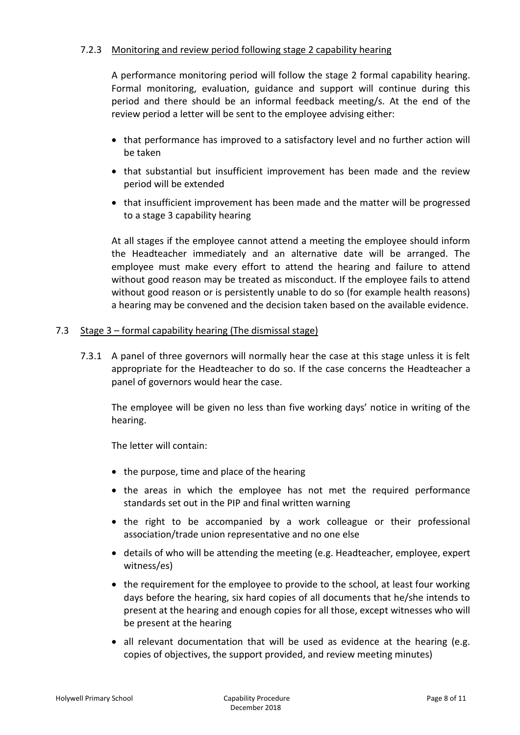#### 7.2.3 Monitoring and review period following stage 2 capability hearing

A performance monitoring period will follow the stage 2 formal capability hearing. Formal monitoring, evaluation, guidance and support will continue during this period and there should be an informal feedback meeting/s. At the end of the review period a letter will be sent to the employee advising either:

- that performance has improved to a satisfactory level and no further action will be taken
- that substantial but insufficient improvement has been made and the review period will be extended
- that insufficient improvement has been made and the matter will be progressed to a stage 3 capability hearing

At all stages if the employee cannot attend a meeting the employee should inform the Headteacher immediately and an alternative date will be arranged. The employee must make every effort to attend the hearing and failure to attend without good reason may be treated as misconduct. If the employee fails to attend without good reason or is persistently unable to do so (for example health reasons) a hearing may be convened and the decision taken based on the available evidence.

#### 7.3 Stage 3 – formal capability hearing (The dismissal stage)

7.3.1 A panel of three governors will normally hear the case at this stage unless it is felt appropriate for the Headteacher to do so. If the case concerns the Headteacher a panel of governors would hear the case.

The employee will be given no less than five working days' notice in writing of the hearing.

The letter will contain:

- $\bullet$  the purpose, time and place of the hearing
- the areas in which the employee has not met the required performance standards set out in the PIP and final written warning
- the right to be accompanied by a work colleague or their professional association/trade union representative and no one else
- details of who will be attending the meeting (e.g. Headteacher, employee, expert witness/es)
- the requirement for the employee to provide to the school, at least four working days before the hearing, six hard copies of all documents that he/she intends to present at the hearing and enough copies for all those, except witnesses who will be present at the hearing
- all relevant documentation that will be used as evidence at the hearing (e.g. copies of objectives, the support provided, and review meeting minutes)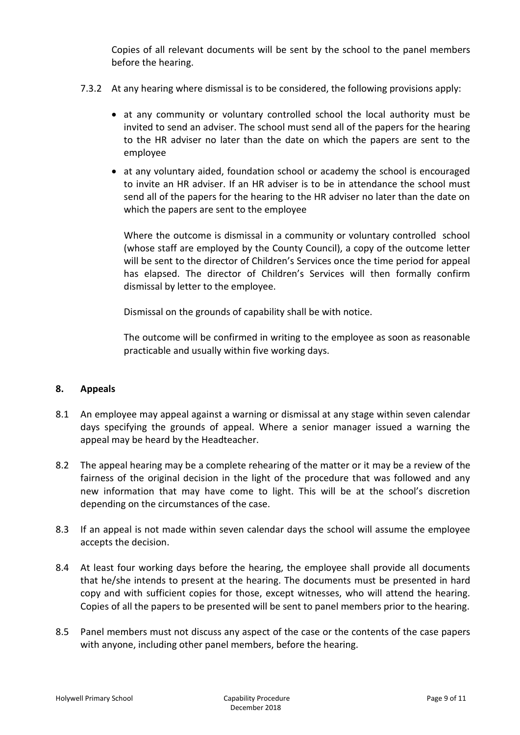Copies of all relevant documents will be sent by the school to the panel members before the hearing.

- 7.3.2 At any hearing where dismissal is to be considered, the following provisions apply:
	- at any community or voluntary controlled school the local authority must be invited to send an adviser. The school must send all of the papers for the hearing to the HR adviser no later than the date on which the papers are sent to the employee
	- at any voluntary aided, foundation school or academy the school is encouraged to invite an HR adviser. If an HR adviser is to be in attendance the school must send all of the papers for the hearing to the HR adviser no later than the date on which the papers are sent to the employee

Where the outcome is dismissal in a community or voluntary controlled school (whose staff are employed by the County Council), a copy of the outcome letter will be sent to the director of Children's Services once the time period for appeal has elapsed. The director of Children's Services will then formally confirm dismissal by letter to the employee.

Dismissal on the grounds of capability shall be with notice.

The outcome will be confirmed in writing to the employee as soon as reasonable practicable and usually within five working days.

#### **8. Appeals**

- 8.1 An employee may appeal against a warning or dismissal at any stage within seven calendar days specifying the grounds of appeal. Where a senior manager issued a warning the appeal may be heard by the Headteacher.
- 8.2 The appeal hearing may be a complete rehearing of the matter or it may be a review of the fairness of the original decision in the light of the procedure that was followed and any new information that may have come to light. This will be at the school's discretion depending on the circumstances of the case.
- 8.3 If an appeal is not made within seven calendar days the school will assume the employee accepts the decision.
- 8.4 At least four working days before the hearing, the employee shall provide all documents that he/she intends to present at the hearing. The documents must be presented in hard copy and with sufficient copies for those, except witnesses, who will attend the hearing. Copies of all the papers to be presented will be sent to panel members prior to the hearing.
- 8.5 Panel members must not discuss any aspect of the case or the contents of the case papers with anyone, including other panel members, before the hearing*.*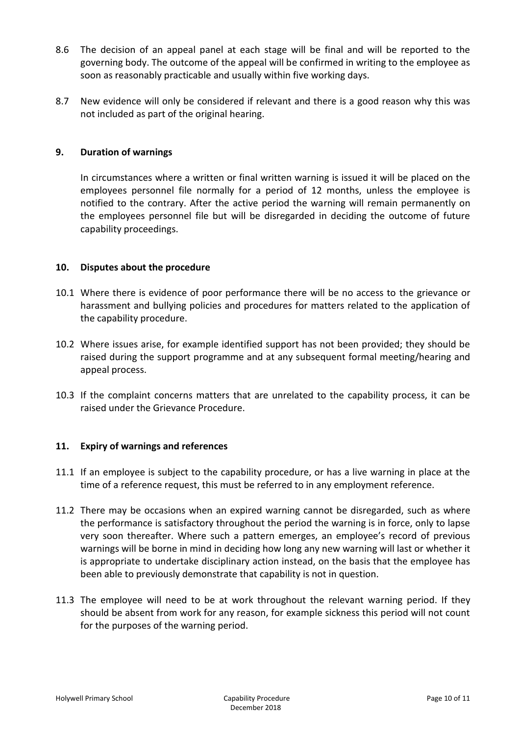- 8.6 The decision of an appeal panel at each stage will be final and will be reported to the governing body. The outcome of the appeal will be confirmed in writing to the employee as soon as reasonably practicable and usually within five working days.
- 8.7 New evidence will only be considered if relevant and there is a good reason why this was not included as part of the original hearing.

#### **9. Duration of warnings**

In circumstances where a written or final written warning is issued it will be placed on the employees personnel file normally for a period of 12 months, unless the employee is notified to the contrary. After the active period the warning will remain permanently on the employees personnel file but will be disregarded in deciding the outcome of future capability proceedings.

#### **10. Disputes about the procedure**

- 10.1 Where there is evidence of poor performance there will be no access to the grievance or harassment and bullying policies and procedures for matters related to the application of the capability procedure.
- 10.2 Where issues arise, for example identified support has not been provided; they should be raised during the support programme and at any subsequent formal meeting/hearing and appeal process.
- 10.3 If the complaint concerns matters that are unrelated to the capability process, it can be raised under the Grievance Procedure.

#### **11. Expiry of warnings and references**

- 11.1 If an employee is subject to the capability procedure, or has a live warning in place at the time of a reference request, this must be referred to in any employment reference.
- 11.2 There may be occasions when an expired warning cannot be disregarded, such as where the performance is satisfactory throughout the period the warning is in force, only to lapse very soon thereafter. Where such a pattern emerges, an employee's record of previous warnings will be borne in mind in deciding how long any new warning will last or whether it is appropriate to undertake disciplinary action instead, on the basis that the employee has been able to previously demonstrate that capability is not in question.
- 11.3 The employee will need to be at work throughout the relevant warning period. If they should be absent from work for any reason, for example sickness this period will not count for the purposes of the warning period.